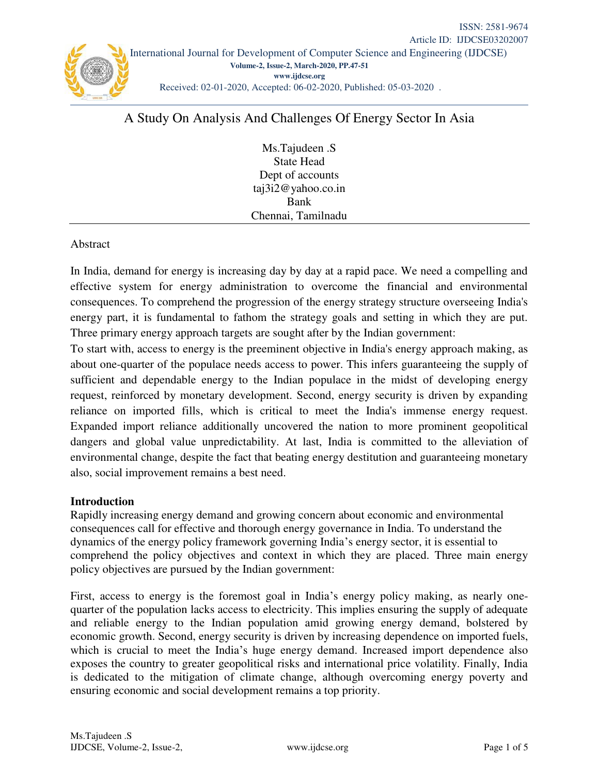

# Received: 02-01-2020, Accepted: 06-02-2020, Published: 05-03-2020 .

# A Study On Analysis And Challenges Of Energy Sector In Asia

Ms.Tajudeen .S State Head Dept of accounts [taj3i2@yahoo.co.in](mailto:taj3i2@yahoo.co.in)  Bank Chennai, Tamilnadu

#### Abstract

In India, demand for energy is increasing day by day at a rapid pace. We need a compelling and effective system for energy administration to overcome the financial and environmental consequences. To comprehend the progression of the energy strategy structure overseeing India's energy part, it is fundamental to fathom the strategy goals and setting in which they are put. Three primary energy approach targets are sought after by the Indian government:

To start with, access to energy is the preeminent objective in India's energy approach making, as about one-quarter of the populace needs access to power. This infers guaranteeing the supply of sufficient and dependable energy to the Indian populace in the midst of developing energy request, reinforced by monetary development. Second, energy security is driven by expanding reliance on imported fills, which is critical to meet the India's immense energy request. Expanded import reliance additionally uncovered the nation to more prominent geopolitical dangers and global value unpredictability. At last, India is committed to the alleviation of environmental change, despite the fact that beating energy destitution and guaranteeing monetary also, social improvement remains a best need.

#### **Introduction**

Rapidly increasing energy demand and growing concern about economic and environmental consequences call for effective and thorough energy governance in India. To understand the dynamics of the energy policy framework governing India's energy sector, it is essential to comprehend the policy objectives and context in which they are placed. Three main energy policy objectives are pursued by the Indian government:

First, access to energy is the foremost goal in India's energy policy making, as nearly onequarter of the population lacks access to electricity. This implies ensuring the supply of adequate and reliable energy to the Indian population amid growing energy demand, bolstered by economic growth. Second, energy security is driven by increasing dependence on imported fuels, which is crucial to meet the India's huge energy demand. Increased import dependence also exposes the country to greater geopolitical risks and international price volatility. Finally, India is dedicated to the mitigation of climate change, although overcoming energy poverty and ensuring economic and social development remains a top priority.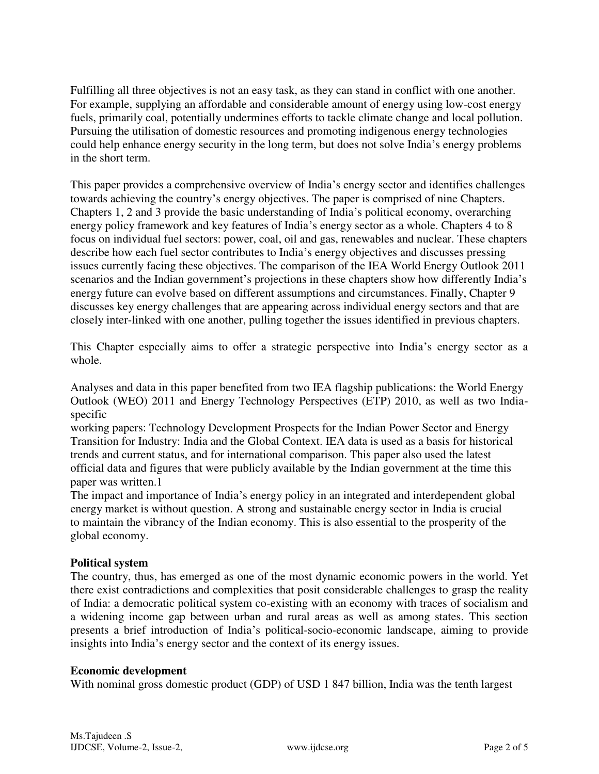Fulfilling all three objectives is not an easy task, as they can stand in conflict with one another. For example, supplying an affordable and considerable amount of energy using low-cost energy fuels, primarily coal, potentially undermines efforts to tackle climate change and local pollution. Pursuing the utilisation of domestic resources and promoting indigenous energy technologies could help enhance energy security in the long term, but does not solve India's energy problems in the short term.

This paper provides a comprehensive overview of India's energy sector and identifies challenges towards achieving the country's energy objectives. The paper is comprised of nine Chapters. Chapters 1, 2 and 3 provide the basic understanding of India's political economy, overarching energy policy framework and key features of India's energy sector as a whole. Chapters 4 to 8 focus on individual fuel sectors: power, coal, oil and gas, renewables and nuclear. These chapters describe how each fuel sector contributes to India's energy objectives and discusses pressing issues currently facing these objectives. The comparison of the IEA World Energy Outlook 2011 scenarios and the Indian government's projections in these chapters show how differently India's energy future can evolve based on different assumptions and circumstances. Finally, Chapter 9 discusses key energy challenges that are appearing across individual energy sectors and that are closely inter-linked with one another, pulling together the issues identified in previous chapters.

This Chapter especially aims to offer a strategic perspective into India's energy sector as a whole.

Analyses and data in this paper benefited from two IEA flagship publications: the World Energy Outlook (WEO) 2011 and Energy Technology Perspectives (ETP) 2010, as well as two Indiaspecific

working papers: Technology Development Prospects for the Indian Power Sector and Energy Transition for Industry: India and the Global Context. IEA data is used as a basis for historical trends and current status, and for international comparison. This paper also used the latest official data and figures that were publicly available by the Indian government at the time this paper was written.1

The impact and importance of India's energy policy in an integrated and interdependent global energy market is without question. A strong and sustainable energy sector in India is crucial to maintain the vibrancy of the Indian economy. This is also essential to the prosperity of the global economy.

#### **Political system**

The country, thus, has emerged as one of the most dynamic economic powers in the world. Yet there exist contradictions and complexities that posit considerable challenges to grasp the reality of India: a democratic political system co-existing with an economy with traces of socialism and a widening income gap between urban and rural areas as well as among states. This section presents a brief introduction of India's political-socio-economic landscape, aiming to provide insights into India's energy sector and the context of its energy issues.

#### **Economic development**

With nominal gross domestic product (GDP) of USD 1 847 billion, India was the tenth largest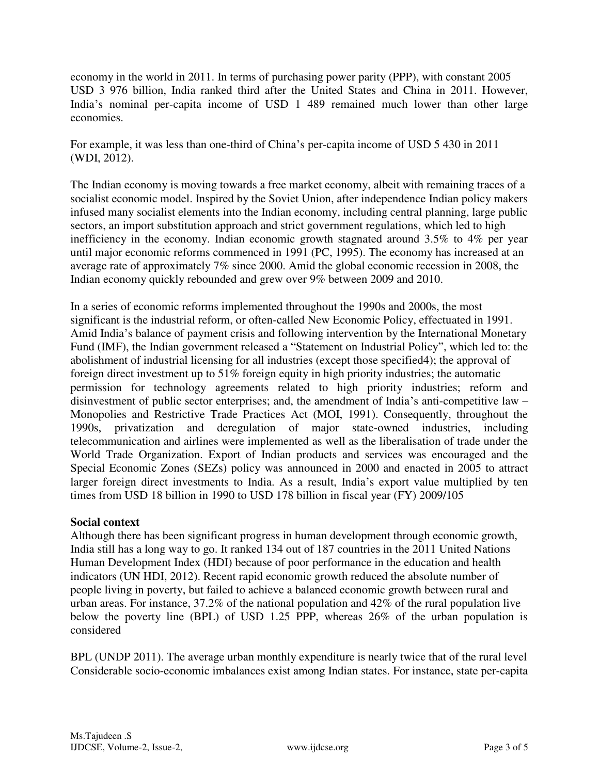economy in the world in 2011. In terms of purchasing power parity (PPP), with constant 2005 USD 3 976 billion, India ranked third after the United States and China in 2011. However, India's nominal per-capita income of USD 1 489 remained much lower than other large economies.

For example, it was less than one-third of China's per-capita income of USD 5 430 in 2011 (WDI, 2012).

The Indian economy is moving towards a free market economy, albeit with remaining traces of a socialist economic model. Inspired by the Soviet Union, after independence Indian policy makers infused many socialist elements into the Indian economy, including central planning, large public sectors, an import substitution approach and strict government regulations, which led to high inefficiency in the economy. Indian economic growth stagnated around 3.5% to 4% per year until major economic reforms commenced in 1991 (PC, 1995). The economy has increased at an average rate of approximately 7% since 2000. Amid the global economic recession in 2008, the Indian economy quickly rebounded and grew over 9% between 2009 and 2010.

In a series of economic reforms implemented throughout the 1990s and 2000s, the most significant is the industrial reform, or often-called New Economic Policy, effectuated in 1991. Amid India's balance of payment crisis and following intervention by the International Monetary Fund (IMF), the Indian government released a "Statement on Industrial Policy", which led to: the abolishment of industrial licensing for all industries (except those specified4); the approval of foreign direct investment up to 51% foreign equity in high priority industries; the automatic permission for technology agreements related to high priority industries; reform and disinvestment of public sector enterprises; and, the amendment of India's anti-competitive law – Monopolies and Restrictive Trade Practices Act (MOI, 1991). Consequently, throughout the 1990s, privatization and deregulation of major state-owned industries, including telecommunication and airlines were implemented as well as the liberalisation of trade under the World Trade Organization. Export of Indian products and services was encouraged and the Special Economic Zones (SEZs) policy was announced in 2000 and enacted in 2005 to attract larger foreign direct investments to India. As a result, India's export value multiplied by ten times from USD 18 billion in 1990 to USD 178 billion in fiscal year (FY) 2009/105

#### **Social context**

Although there has been significant progress in human development through economic growth, India still has a long way to go. It ranked 134 out of 187 countries in the 2011 United Nations Human Development Index (HDI) because of poor performance in the education and health indicators (UN HDI, 2012). Recent rapid economic growth reduced the absolute number of people living in poverty, but failed to achieve a balanced economic growth between rural and urban areas. For instance, 37.2% of the national population and 42% of the rural population live below the poverty line (BPL) of USD 1.25 PPP, whereas 26% of the urban population is considered

BPL (UNDP 2011). The average urban monthly expenditure is nearly twice that of the rural level Considerable socio-economic imbalances exist among Indian states. For instance, state per-capita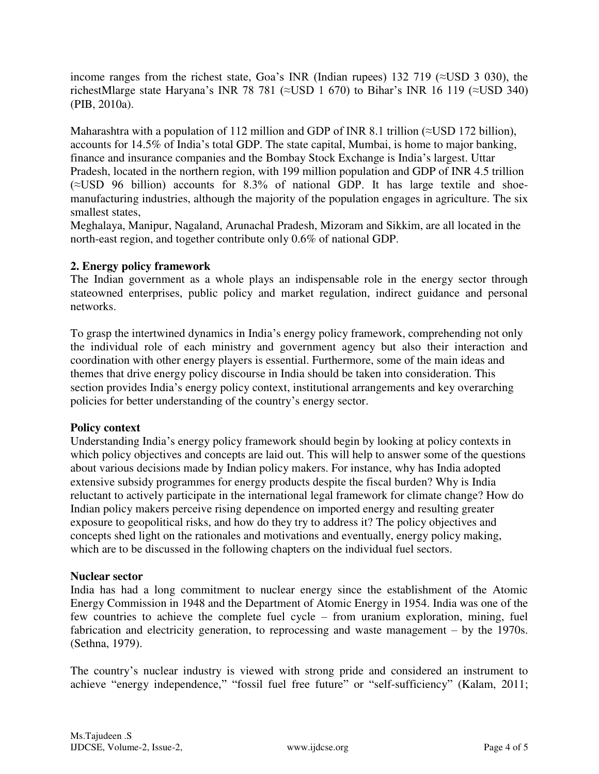income ranges from the richest state, Goa's INR (Indian rupees) 132 719 (≈USD 3 030), the richestMlarge state Haryana's INR 78 781 ( $\approx$ USD 1 670) to Bihar's INR 16 119 ( $\approx$ USD 340) (PIB, 2010a).

Maharashtra with a population of 112 million and GDP of INR 8.1 trillion ( $\approx$ USD 172 billion), accounts for 14.5% of India's total GDP. The state capital, Mumbai, is home to major banking, finance and insurance companies and the Bombay Stock Exchange is India's largest. Uttar Pradesh, located in the northern region, with 199 million population and GDP of INR 4.5 trillion  $(\approx$ USD 96 billion) accounts for 8.3% of national GDP. It has large textile and shoemanufacturing industries, although the majority of the population engages in agriculture. The six smallest states,

Meghalaya, Manipur, Nagaland, Arunachal Pradesh, Mizoram and Sikkim, are all located in the north-east region, and together contribute only 0.6% of national GDP.

# **2. Energy policy framework**

The Indian government as a whole plays an indispensable role in the energy sector through stateowned enterprises, public policy and market regulation, indirect guidance and personal networks.

To grasp the intertwined dynamics in India's energy policy framework, comprehending not only the individual role of each ministry and government agency but also their interaction and coordination with other energy players is essential. Furthermore, some of the main ideas and themes that drive energy policy discourse in India should be taken into consideration. This section provides India's energy policy context, institutional arrangements and key overarching policies for better understanding of the country's energy sector.

# **Policy context**

Understanding India's energy policy framework should begin by looking at policy contexts in which policy objectives and concepts are laid out. This will help to answer some of the questions about various decisions made by Indian policy makers. For instance, why has India adopted extensive subsidy programmes for energy products despite the fiscal burden? Why is India reluctant to actively participate in the international legal framework for climate change? How do Indian policy makers perceive rising dependence on imported energy and resulting greater exposure to geopolitical risks, and how do they try to address it? The policy objectives and concepts shed light on the rationales and motivations and eventually, energy policy making, which are to be discussed in the following chapters on the individual fuel sectors.

# **Nuclear sector**

India has had a long commitment to nuclear energy since the establishment of the Atomic Energy Commission in 1948 and the Department of Atomic Energy in 1954. India was one of the few countries to achieve the complete fuel cycle – from uranium exploration, mining, fuel fabrication and electricity generation, to reprocessing and waste management – by the 1970s. (Sethna, 1979).

The country's nuclear industry is viewed with strong pride and considered an instrument to achieve "energy independence," "fossil fuel free future" or "self-sufficiency" (Kalam, 2011;